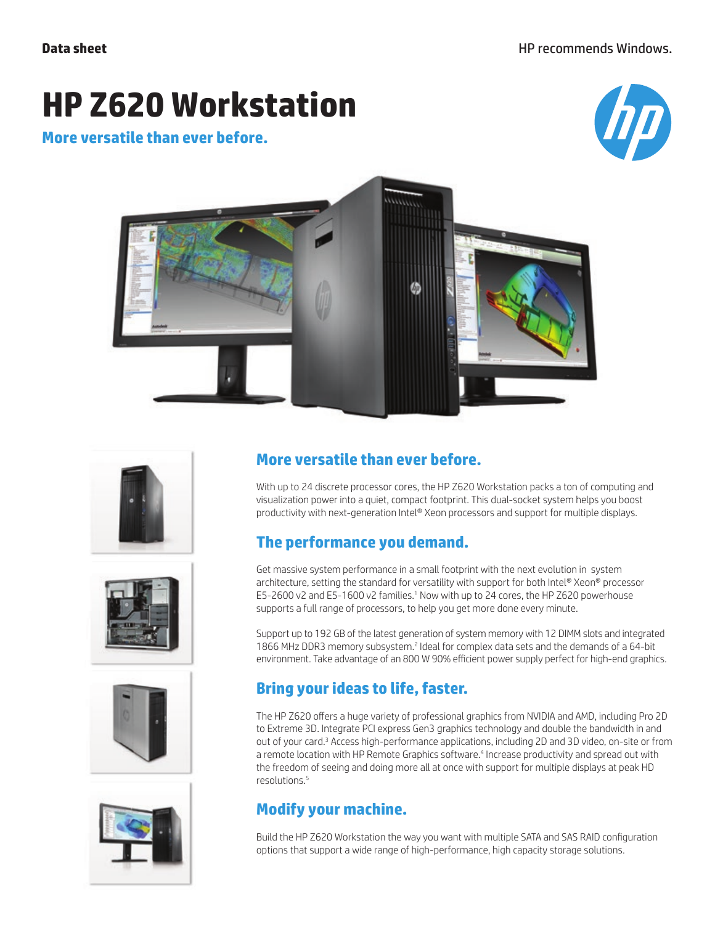# **HP Z620 Workstation**

**More versatile than ever before.** 













### **More versatile than ever before.**

With up to 24 discrete processor cores, the HP Z620 Workstation packs a ton of computing and visualization power into a quiet, compact footprint. This dual-socket system helps you boost productivity with next-generation Intel® Xeon processors and support for multiple displays.

# **The performance you demand.**

Get massive system performance in a small footprint with the next evolution in system architecture, setting the standard for versatility with support for both Intel® Xeon® processor E5-2600 v2 and E5-1600 v2 families.<sup>1</sup> Now with up to 24 cores, the HP Z620 powerhouse supports a full range of processors, to help you get more done every minute.

Support up to 192 GB of the latest generation of system memory with 12 DIMM slots and integrated 1866 MHz DDR3 memory subsystem.<sup>2</sup> Ideal for complex data sets and the demands of a 64-bit environment. Take advantage of an 800 W 90% efficient power supply perfect for high-end graphics.

# **Bring your ideas to life, faster.**

The HP Z620 offers a huge variety of professional graphics from NVIDIA and AMD, including Pro 2D to Extreme 3D. Integrate PCI express Gen3 graphics technology and double the bandwidth in and out of your card.<sup>3</sup> Access high-performance applications, including 2D and 3D video, on-site or from a remote location with HP Remote Graphics software.<sup>4</sup> Increase productivity and spread out with the freedom of seeing and doing more all at once with support for multiple displays at peak HD resolutions.5

## **Modify your machine.**

Build the HP Z620 Workstation the way you want with multiple SATA and SAS RAID configuration options that support a wide range of high-performance, high capacity storage solutions.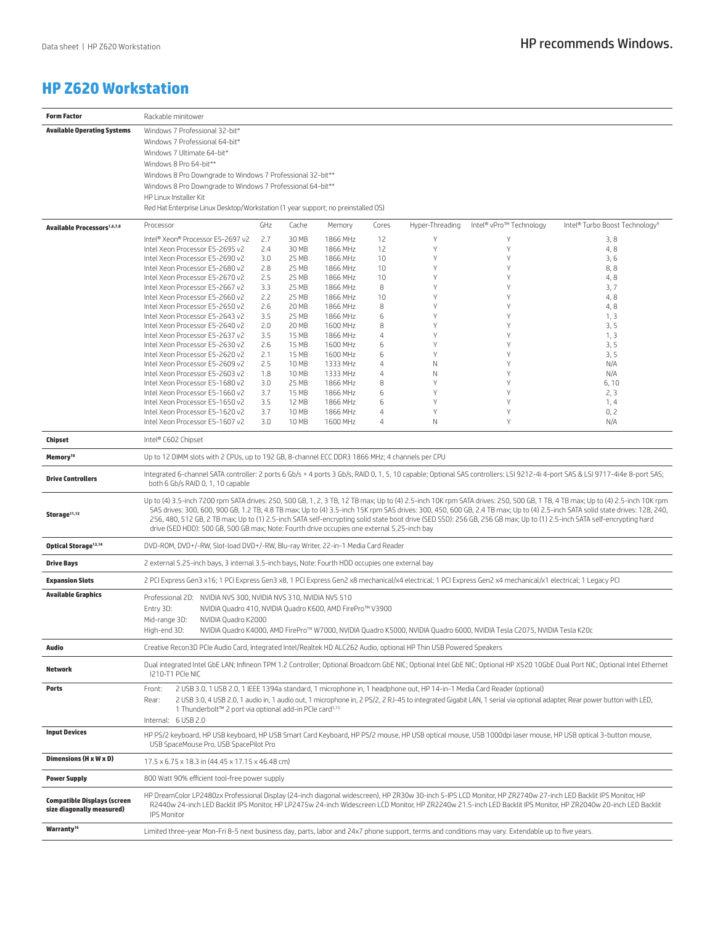#### **HP Z620 Workstation**

| <b>Form Factor</b>                                              | Rackable minitower                                                                                                                                                                                                                                                                                                                                                                                                                                                                                                                                                                                                                    |            |                |                      |                     |                 |                                                                                                                         |                                                                                                                                                                       |
|-----------------------------------------------------------------|---------------------------------------------------------------------------------------------------------------------------------------------------------------------------------------------------------------------------------------------------------------------------------------------------------------------------------------------------------------------------------------------------------------------------------------------------------------------------------------------------------------------------------------------------------------------------------------------------------------------------------------|------------|----------------|----------------------|---------------------|-----------------|-------------------------------------------------------------------------------------------------------------------------|-----------------------------------------------------------------------------------------------------------------------------------------------------------------------|
| <b>Available Operating Systems</b>                              | Windows 7 Professional 32-bit*                                                                                                                                                                                                                                                                                                                                                                                                                                                                                                                                                                                                        |            |                |                      |                     |                 |                                                                                                                         |                                                                                                                                                                       |
|                                                                 | Windows 7 Professional 64-bit*                                                                                                                                                                                                                                                                                                                                                                                                                                                                                                                                                                                                        |            |                |                      |                     |                 |                                                                                                                         |                                                                                                                                                                       |
|                                                                 | Windows 7 Ultimate 64-bit*                                                                                                                                                                                                                                                                                                                                                                                                                                                                                                                                                                                                            |            |                |                      |                     |                 |                                                                                                                         |                                                                                                                                                                       |
|                                                                 | Windows 8 Pro 64-bit**                                                                                                                                                                                                                                                                                                                                                                                                                                                                                                                                                                                                                |            |                |                      |                     |                 |                                                                                                                         |                                                                                                                                                                       |
|                                                                 | Windows 8 Pro Downgrade to Windows 7 Professional 32-bit**                                                                                                                                                                                                                                                                                                                                                                                                                                                                                                                                                                            |            |                |                      |                     |                 |                                                                                                                         |                                                                                                                                                                       |
|                                                                 | Windows 8 Pro Downgrade to Windows 7 Professional 64-bit**<br>HP Linux Installer Kit                                                                                                                                                                                                                                                                                                                                                                                                                                                                                                                                                  |            |                |                      |                     |                 |                                                                                                                         |                                                                                                                                                                       |
|                                                                 | Red Hat Enterprise Linux Desktop/Workstation (1 year support; no preinstalled OS)                                                                                                                                                                                                                                                                                                                                                                                                                                                                                                                                                     |            |                |                      |                     |                 |                                                                                                                         |                                                                                                                                                                       |
|                                                                 |                                                                                                                                                                                                                                                                                                                                                                                                                                                                                                                                                                                                                                       |            |                |                      |                     |                 |                                                                                                                         |                                                                                                                                                                       |
| <b>Available Processors</b> <sup>1,6,7,8</sup>                  | Processor                                                                                                                                                                                                                                                                                                                                                                                                                                                                                                                                                                                                                             | GHz        | Cache          | Memory               | Cores               | Hyper-Threading | Intel® vPro™ Technology                                                                                                 | Intel® Turbo Boost Technology <sup>9</sup>                                                                                                                            |
|                                                                 | Intel® Xeon® Processor E5-2697 v2                                                                                                                                                                                                                                                                                                                                                                                                                                                                                                                                                                                                     | 2.7        | 30 MB          | 1866 MHz             | 12                  | Υ               | Υ                                                                                                                       | 3,8                                                                                                                                                                   |
|                                                                 | Intel Xeon Processor E5-2695 v2<br>Intel Xeon Processor E5-2690 v2                                                                                                                                                                                                                                                                                                                                                                                                                                                                                                                                                                    | 2.4<br>3.0 | 30 MB<br>25 MB | 1866 MHz<br>1866 MHz | 12<br>10            | Y<br>Υ          | Υ<br>Υ                                                                                                                  | 4,8<br>3,6                                                                                                                                                            |
|                                                                 | Intel Xeon Processor E5-2680 v2                                                                                                                                                                                                                                                                                                                                                                                                                                                                                                                                                                                                       | 2.8        | 25 MB          | 1866 MHz             | 10                  | Y               | Υ                                                                                                                       | 8,8                                                                                                                                                                   |
|                                                                 | Intel Xeon Processor E5-2670 v2                                                                                                                                                                                                                                                                                                                                                                                                                                                                                                                                                                                                       | 2.5        | 25 MB          | 1866 MHz             | 10                  | Υ               | Υ                                                                                                                       | 4,8                                                                                                                                                                   |
|                                                                 | Intel Xeon Processor E5-2667 v2                                                                                                                                                                                                                                                                                                                                                                                                                                                                                                                                                                                                       | 3.3        | 25 MB          | 1866 MHz             | 8                   | Y               | Υ                                                                                                                       | 3,7                                                                                                                                                                   |
|                                                                 | Intel Xeon Processor E5-2660 v2                                                                                                                                                                                                                                                                                                                                                                                                                                                                                                                                                                                                       | 2.2        | 25 MB          | 1866 MHz             | 10                  | Y               | Υ                                                                                                                       | 4,8                                                                                                                                                                   |
|                                                                 | Intel Xeon Processor E5-2650 v2                                                                                                                                                                                                                                                                                                                                                                                                                                                                                                                                                                                                       | 2.6        | 20 MB          | 1866 MHz             | 8                   | Υ               | Υ                                                                                                                       | 4,8                                                                                                                                                                   |
|                                                                 | Intel Xeon Processor E5-2643 v2                                                                                                                                                                                                                                                                                                                                                                                                                                                                                                                                                                                                       | 3.5        | 25 MB          | 1866 MHz             | 6                   | Y               | Y                                                                                                                       | 1, 3                                                                                                                                                                  |
|                                                                 | Intel Xeon Processor E5-2640 v2<br>Intel Xeon Processor E5-2637 v2                                                                                                                                                                                                                                                                                                                                                                                                                                                                                                                                                                    | 2.0        | 20 MB          | 1600 MHz             | 8                   | Y<br>Υ          | Υ<br>Υ                                                                                                                  | 3, 5                                                                                                                                                                  |
|                                                                 | Intel Xeon Processor E5-2630 v2                                                                                                                                                                                                                                                                                                                                                                                                                                                                                                                                                                                                       | 3.5<br>2.6 | 15 MB<br>15 MB | 1866 MHz<br>1600 MHz | $\overline{4}$<br>6 | Υ               | Υ                                                                                                                       | 1, 3<br>3, 5                                                                                                                                                          |
|                                                                 | Intel Xeon Processor E5-2620 v2                                                                                                                                                                                                                                                                                                                                                                                                                                                                                                                                                                                                       | 2.1        | 15 MB          | 1600 MHz             | 6                   | Y               | Υ                                                                                                                       | 3, 5                                                                                                                                                                  |
|                                                                 | Intel Xeon Processor E5-2609 v2                                                                                                                                                                                                                                                                                                                                                                                                                                                                                                                                                                                                       | 2.5        | 10 MB          | 1333 MHz             | 4                   | N               | Υ                                                                                                                       | N/A                                                                                                                                                                   |
|                                                                 | Intel Xeon Processor E5-2603 v2                                                                                                                                                                                                                                                                                                                                                                                                                                                                                                                                                                                                       | 1.8        | 10 MB          | 1333 MHz             | 4                   | N               | Υ                                                                                                                       | N/A                                                                                                                                                                   |
|                                                                 | Intel Xeon Processor E5-1680 v2                                                                                                                                                                                                                                                                                                                                                                                                                                                                                                                                                                                                       | 3.0        | 25 MB          | 1866 MHz             | 8                   | Y               | Υ                                                                                                                       | 6,10                                                                                                                                                                  |
|                                                                 | Intel Xeon Processor E5-1660 v2                                                                                                                                                                                                                                                                                                                                                                                                                                                                                                                                                                                                       | 3.7        | 15 MB          | 1866 MHz             | 6                   | Y               | Y                                                                                                                       | 2, 3                                                                                                                                                                  |
|                                                                 | Intel Xeon Processor E5-1650 v2                                                                                                                                                                                                                                                                                                                                                                                                                                                                                                                                                                                                       | 3.5        | 12 MB          | 1866 MHz             | 6                   | Y               | Y                                                                                                                       | 1, 4                                                                                                                                                                  |
|                                                                 | Intel Xeon Processor E5-1620 v2                                                                                                                                                                                                                                                                                                                                                                                                                                                                                                                                                                                                       | 3.7        | 10 MB          | 1866 MHz             | $\overline{4}$      | Υ               | Υ                                                                                                                       | 0, 2                                                                                                                                                                  |
|                                                                 | Intel Xeon Processor E5-1607 v2                                                                                                                                                                                                                                                                                                                                                                                                                                                                                                                                                                                                       | 3.0        | 10 MB          | 1600 MHz             | 4                   | N               | Υ                                                                                                                       | N/A                                                                                                                                                                   |
| Chipset                                                         | Intel® C602 Chipset                                                                                                                                                                                                                                                                                                                                                                                                                                                                                                                                                                                                                   |            |                |                      |                     |                 |                                                                                                                         |                                                                                                                                                                       |
| Memory <sup>10</sup>                                            | Up to 12 DIMM slots with 2 CPUs, up to 192 GB, 8-channel ECC DDR3 1866 MHz; 4 channels per CPU                                                                                                                                                                                                                                                                                                                                                                                                                                                                                                                                        |            |                |                      |                     |                 |                                                                                                                         |                                                                                                                                                                       |
| <b>Drive Controllers</b>                                        | Integrated 6-channel SATA controller: 2 ports 6 Gb/s + 4 ports 3 Gb/s, RAID 0, 1, 5, 10 capable; Optional SAS controllers: LSI 9212-4i 4-port SAS & LSI 9717-4i4e 8-port SAS;<br>both 6 Gb/s RAID 0, 1, 10 capable                                                                                                                                                                                                                                                                                                                                                                                                                    |            |                |                      |                     |                 |                                                                                                                         |                                                                                                                                                                       |
| Storage <sup>11,12</sup>                                        | Up to (4) 3.5-inch 7200 rpm SATA drives: 250, 500 GB, 1, 2, 3 TB, 12 TB max; Up to (4) 2.5-inch 10K rpm SATA drives: 250, 500 GB, 1 TB, 4 TB max; Up to (4) 2.5-inch 10K rpm<br>SAS drives: 300, 600, 900 GB, 1.2 TB, 4.8 TB max; Up to (4) 3.5-inch 15K rpm SAS drives: 300, 450, 600 GB, 2.4 TB max; Up to (4) 2.5-inch SATA solid state drives: 128, 240,<br>256, 480, 512 GB, 2 TB max; Up to (1) 2.5-inch SATA self-encrypting solid state boot drive (SED SSD): 256 GB, 256 GB max; Up to (1) 2.5-inch SATA self-encrypting hard<br>drive (SED HDD): 500 GB, 500 GB max; Note: Fourth drive occupies one external 5.25-inch bay |            |                |                      |                     |                 |                                                                                                                         |                                                                                                                                                                       |
| Optical Storage <sup>13,14</sup>                                | DVD-ROM, DVD+/-RW, Slot-load DVD+/-RW, Blu-ray Writer, 22-in-1 Media Card Reader                                                                                                                                                                                                                                                                                                                                                                                                                                                                                                                                                      |            |                |                      |                     |                 |                                                                                                                         |                                                                                                                                                                       |
| <b>Drive Bays</b>                                               | 2 external 5.25-inch bays, 3 internal 3.5-inch bays, Note: Fourth HDD occupies one external bay                                                                                                                                                                                                                                                                                                                                                                                                                                                                                                                                       |            |                |                      |                     |                 |                                                                                                                         |                                                                                                                                                                       |
| <b>Expansion Slots</b>                                          | 2 PCI Express Gen3 x16; 1 PCI Express Gen3 x8, 1 PCI Express Gen2 x8 mechanical/x4 electrical; 1 PCI Express Gen2 x4 mechanical/x1 electrical; 1 Legacy PCI                                                                                                                                                                                                                                                                                                                                                                                                                                                                           |            |                |                      |                     |                 |                                                                                                                         |                                                                                                                                                                       |
| <b>Available Graphics</b>                                       | Professional 2D: NVIDIA NVS 300, NVIDIA NVS 310, NVIDIA NVS 510                                                                                                                                                                                                                                                                                                                                                                                                                                                                                                                                                                       |            |                |                      |                     |                 |                                                                                                                         |                                                                                                                                                                       |
|                                                                 | Entry 3D:<br>NVIDIA Quadro 410, NVIDIA Quadro K600, AMD FirePro™ V3900                                                                                                                                                                                                                                                                                                                                                                                                                                                                                                                                                                |            |                |                      |                     |                 |                                                                                                                         |                                                                                                                                                                       |
|                                                                 | Mid-range 3D:<br>NVIDIA Quadro K2000                                                                                                                                                                                                                                                                                                                                                                                                                                                                                                                                                                                                  |            |                |                      |                     |                 |                                                                                                                         |                                                                                                                                                                       |
|                                                                 | High-end 3D:                                                                                                                                                                                                                                                                                                                                                                                                                                                                                                                                                                                                                          |            |                |                      |                     |                 | NVIDIA Quadro K4000, AMD FirePro™ W7000, NVIDIA Quadro K5000, NVIDIA Quadro 6000, NVIDIA Tesla C2075, NVIDIA Tesla K20c |                                                                                                                                                                       |
| Audio                                                           |                                                                                                                                                                                                                                                                                                                                                                                                                                                                                                                                                                                                                                       |            |                |                      |                     |                 |                                                                                                                         |                                                                                                                                                                       |
|                                                                 | Creative Recon3D PCIe Audio Card, Integrated Intel/Realtek HD ALC262 Audio, optional HP Thin USB Powered Speakers                                                                                                                                                                                                                                                                                                                                                                                                                                                                                                                     |            |                |                      |                     |                 |                                                                                                                         |                                                                                                                                                                       |
| Network                                                         | Dual integrated Intel GbE LAN; Infineon TPM 1.2 Controller; Optional Broadcom GbE NIC; Optional Intel GbE NIC; Optional HP X520 10GbE Dual Port NIC; Optional Intel Ethernet<br>I210-T1 PCIe NIC                                                                                                                                                                                                                                                                                                                                                                                                                                      |            |                |                      |                     |                 |                                                                                                                         |                                                                                                                                                                       |
| Ports                                                           | 2 USB 3.0, 1 USB 2.0, 1 IEEE 1394a standard, 1 microphone in, 1 headphone out, HP 14-in-1 Media Card Reader (optional)<br>Front:                                                                                                                                                                                                                                                                                                                                                                                                                                                                                                      |            |                |                      |                     |                 |                                                                                                                         |                                                                                                                                                                       |
|                                                                 | Rear:                                                                                                                                                                                                                                                                                                                                                                                                                                                                                                                                                                                                                                 |            |                |                      |                     |                 |                                                                                                                         | 2 USB 3.0, 4 USB 2.0, 1 audio in, 1 audio out, 1 microphone in, 2 PS/2, 2 RJ-45 to integrated Gigabit LAN, 1 serial via optional adapter, Rear power button with LED, |
|                                                                 | 1 Thunderbolt™ 2 port via optional add-in PCIe card <sup>3,15</sup>                                                                                                                                                                                                                                                                                                                                                                                                                                                                                                                                                                   |            |                |                      |                     |                 |                                                                                                                         |                                                                                                                                                                       |
|                                                                 | Internal: 6 USB 2.0                                                                                                                                                                                                                                                                                                                                                                                                                                                                                                                                                                                                                   |            |                |                      |                     |                 |                                                                                                                         |                                                                                                                                                                       |
| <b>Input Devices</b>                                            | HP PS/2 keyboard, HP USB keyboard, HP USB Smart Card Keyboard, HP PS/2 mouse, HP USB optical mouse, USB 1000dpi laser mouse, HP USB optical 3-button mouse,<br>USB SpaceMouse Pro, USB SpacePilot Pro                                                                                                                                                                                                                                                                                                                                                                                                                                 |            |                |                      |                     |                 |                                                                                                                         |                                                                                                                                                                       |
| Dimensions (H x W x D)                                          | 17.5 x 6.75 x 18.3 in (44.45 x 17.15 x 46.48 cm)                                                                                                                                                                                                                                                                                                                                                                                                                                                                                                                                                                                      |            |                |                      |                     |                 |                                                                                                                         |                                                                                                                                                                       |
| <b>Power Supply</b>                                             | 800 Watt 90% efficient tool-free power supply                                                                                                                                                                                                                                                                                                                                                                                                                                                                                                                                                                                         |            |                |                      |                     |                 |                                                                                                                         |                                                                                                                                                                       |
| <b>Compatible Displays (screen</b><br>size diagonally measured) | HP DreamColor LP2480zx Professional Display (24-inch diagonal widescreen), HP ZR30w 30-inch S-IPS LCD Monitor, HP ZR2740w 27-inch LED Backlit IPS Monitor, HP<br>R2440w 24-inch LED Backlit IPS Monitor, HP LP2475w 24-inch Widescreen LCD Monitor, HP ZR2240w 21.5-inch LED Backlit IPS Monitor, HP ZR2040w 20-inch LED Backlit<br><b>IPS Monitor</b>                                                                                                                                                                                                                                                                                |            |                |                      |                     |                 |                                                                                                                         |                                                                                                                                                                       |
| Warranty <sup>16</sup>                                          | Limited three-year Mon-Fri 8-5 next business day, parts, labor and 24x7 phone support, terms and conditions may vary. Extendable up to five years.                                                                                                                                                                                                                                                                                                                                                                                                                                                                                    |            |                |                      |                     |                 |                                                                                                                         |                                                                                                                                                                       |